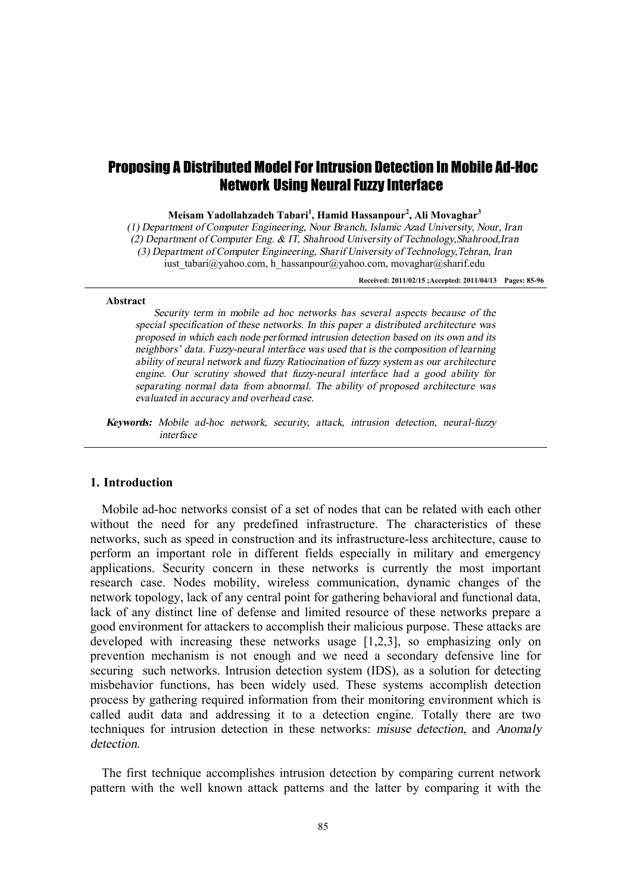# Proposing A Distributed Model For Intrusion Detection In Mobile Ad-Hoc Network Using Neural Fuzzy Interface

**Meisam Yadollahzadeh Tabari<sup>1</sup> , Hamid Hassanpour<sup>2</sup> , Ali Movaghar<sup>3</sup>**

*(1) Department of Computer Engineering, Nour Branch, Islamic Azad University, Nour, Iran (2) Department of Computer Eng. & IT, Shahrood University of Technology,Shahrood,Iran (3) Department of Computer Engineering, Sharif University of Technology,Tehran, Iran*  iust tabari@yahoo.com, h\_hassanpour@yahoo.com, movaghar@sharif.edu

**Received: 2011/02/15 ;Accepted: 2011/04/13 Pages: 85-96** 

#### **Abstract**

*Security term in mobile ad hoc networks has several aspects because of the special specification of these networks. In this paper <sup>a</sup> distributed architecture was proposed in which each node performed intrusion detection based on its own and its neighbors' data. Fuzzy-neural interface was used that is the composition of learning ability of neural network and fuzzy Ratiocination of fuzzy system as our architecture engine. Our scrutiny showed that fuzzy-neural interface had <sup>a</sup> good ability for separating normal data from abnormal. The ability of proposed architecture was evaluated in accuracy and overhead case.* 

*Keywords: Mobile ad-hoc network, security, attack, intrusion detection, neural-fuzzy interface* 

#### **1. Introduction**

Mobile ad-hoc networks consist of a set of nodes that can be related with each other without the need for any predefined infrastructure. The characteristics of these networks, such as speed in construction and its infrastructure-less architecture, cause to perform an important role in different fields especially in military and emergency applications. Security concern in these networks is currently the most important research case. Nodes mobility, wireless communication, dynamic changes of the network topology, lack of any central point for gathering behavioral and functional data, lack of any distinct line of defense and limited resource of these networks prepare a good environment for attackers to accomplish their malicious purpose. These attacks are developed with increasing these networks usage [1,2,3], so emphasizing only on prevention mechanism is not enough and we need a secondary defensive line for securing such networks. Intrusion detection system (IDS), as a solution for detecting misbehavior functions, has been widely used. These systems accomplish detection process by gathering required information from their monitoring environment which is called audit data and addressing it to a detection engine. Totally there are two techniques for intrusion detection in these networks: *misuse detection*, and *Anomaly detection*.

The first technique accomplishes intrusion detection by comparing current network pattern with the well known attack patterns and the latter by comparing it with the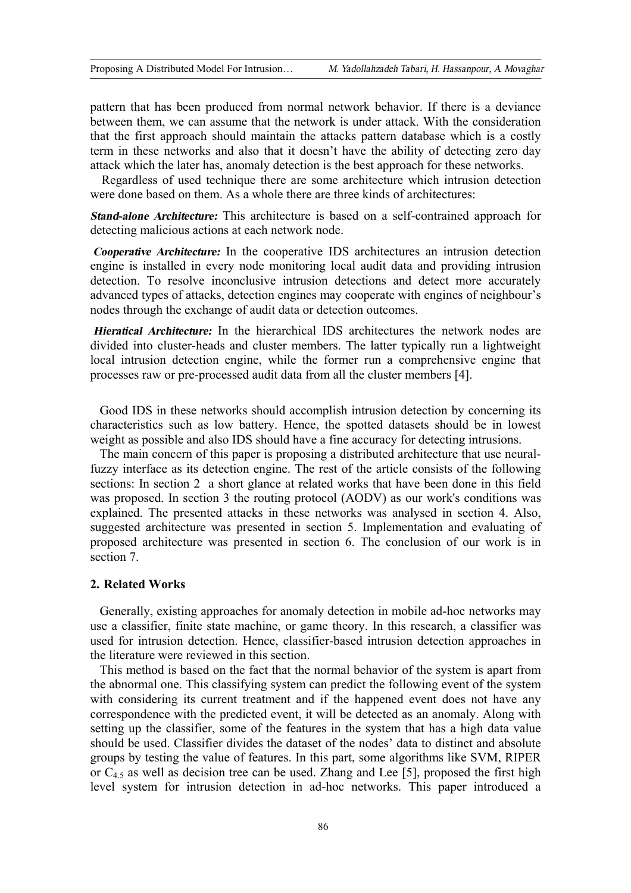pattern that has been produced from normal network behavior. If there is a deviance between them, we can assume that the network is under attack. With the consideration that the first approach should maintain the attacks pattern database which is a costly term in these networks and also that it doesn't have the ability of detecting zero day attack which the later has, anomaly detection is the best approach for these networks.

Regardless of used technique there are some architecture which intrusion detection were done based on them. As a whole there are three kinds of architectures:

*Stand-alone Architecture:* This architecture is based on a self-contrained approach for detecting malicious actions at each network node.

*Cooperative Architecture:* In the cooperative IDS architectures an intrusion detection engine is installed in every node monitoring local audit data and providing intrusion detection. To resolve inconclusive intrusion detections and detect more accurately advanced types of attacks, detection engines may cooperate with engines of neighbour's nodes through the exchange of audit data or detection outcomes.

*Hieratical Architecture:* In the hierarchical IDS architectures the network nodes are divided into cluster-heads and cluster members. The latter typically run a lightweight local intrusion detection engine, while the former run a comprehensive engine that processes raw or pre-processed audit data from all the cluster members [4].

Good IDS in these networks should accomplish intrusion detection by concerning its characteristics such as low battery. Hence, the spotted datasets should be in lowest weight as possible and also IDS should have a fine accuracy for detecting intrusions.

The main concern of this paper is proposing a distributed architecture that use neuralfuzzy interface as its detection engine. The rest of the article consists of the following sections: In section 2 a short glance at related works that have been done in this field was proposed. In section 3 the routing protocol (AODV) as our work's conditions was explained. The presented attacks in these networks was analysed in section 4. Also, suggested architecture was presented in section 5. Implementation and evaluating of proposed architecture was presented in section 6. The conclusion of our work is in section 7.

### **2. Related Works**

Generally, existing approaches for anomaly detection in mobile ad-hoc networks may use a classifier, finite state machine, or game theory. In this research, a classifier was used for intrusion detection. Hence, classifier-based intrusion detection approaches in the literature were reviewed in this section.

This method is based on the fact that the normal behavior of the system is apart from the abnormal one. This classifying system can predict the following event of the system with considering its current treatment and if the happened event does not have any correspondence with the predicted event, it will be detected as an anomaly. Along with setting up the classifier, some of the features in the system that has a high data value should be used. Classifier divides the dataset of the nodes' data to distinct and absolute groups by testing the value of features. In this part, some algorithms like SVM, RIPER or  $C_{4.5}$  as well as decision tree can be used. Zhang and Lee [5], proposed the first high level system for intrusion detection in ad-hoc networks. This paper introduced a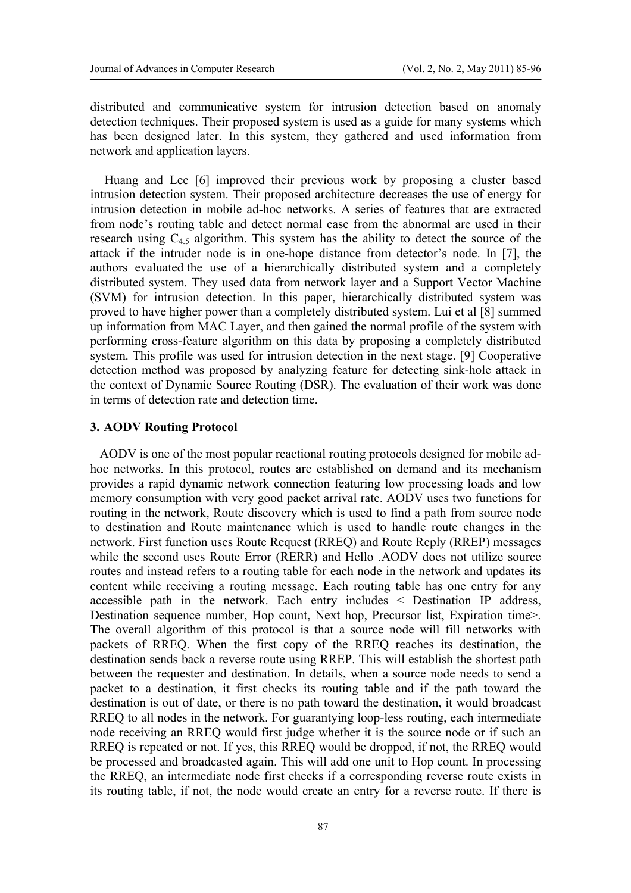distributed and communicative system for intrusion detection based on anomaly detection techniques. Their proposed system is used as a guide for many systems which has been designed later. In this system, they gathered and used information from network and application layers.

Huang and Lee [6] improved their previous work by proposing a cluster based intrusion detection system. Their proposed architecture decreases the use of energy for intrusion detection in mobile ad-hoc networks. A series of features that are extracted from node's routing table and detect normal case from the abnormal are used in their research using  $C_{4,5}$  algorithm. This system has the ability to detect the source of the attack if the intruder node is in one-hope distance from detector's node. In [7], the authors evaluated the use of a hierarchically distributed system and a completely distributed system. They used data from network layer and a Support Vector Machine (SVM) for intrusion detection. In this paper, hierarchically distributed system was proved to have higher power than a completely distributed system. Lui et al [8] summed up information from MAC Layer, and then gained the normal profile of the system with performing cross-feature algorithm on this data by proposing a completely distributed system. This profile was used for intrusion detection in the next stage. [9] Cooperative detection method was proposed by analyzing feature for detecting sink-hole attack in the context of Dynamic Source Routing (DSR). The evaluation of their work was done in terms of detection rate and detection time.

### **3. AODV Routing Protocol**

AODV is one of the most popular reactional routing protocols designed for mobile adhoc networks. In this protocol, routes are established on demand and its mechanism provides a rapid dynamic network connection featuring low processing loads and low memory consumption with very good packet arrival rate. AODV uses two functions for routing in the network, Route discovery which is used to find a path from source node to destination and Route maintenance which is used to handle route changes in the network. First function uses Route Request (RREQ) and Route Reply (RREP) messages while the second uses Route Error (RERR) and Hello .AODV does not utilize source routes and instead refers to a routing table for each node in the network and updates its content while receiving a routing message. Each routing table has one entry for any accessible path in the network. Each entry includes < Destination IP address, Destination sequence number, Hop count, Next hop, Precursor list, Expiration time>. The overall algorithm of this protocol is that a source node will fill networks with packets of RREQ. When the first copy of the RREQ reaches its destination, the destination sends back a reverse route using RREP. This will establish the shortest path between the requester and destination. In details, when a source node needs to send a packet to a destination, it first checks its routing table and if the path toward the destination is out of date, or there is no path toward the destination, it would broadcast RREQ to all nodes in the network. For guarantying loop-less routing, each intermediate node receiving an RREQ would first judge whether it is the source node or if such an RREQ is repeated or not. If yes, this RREQ would be dropped, if not, the RREQ would be processed and broadcasted again. This will add one unit to Hop count. In processing the RREQ, an intermediate node first checks if a corresponding reverse route exists in its routing table, if not, the node would create an entry for a reverse route. If there is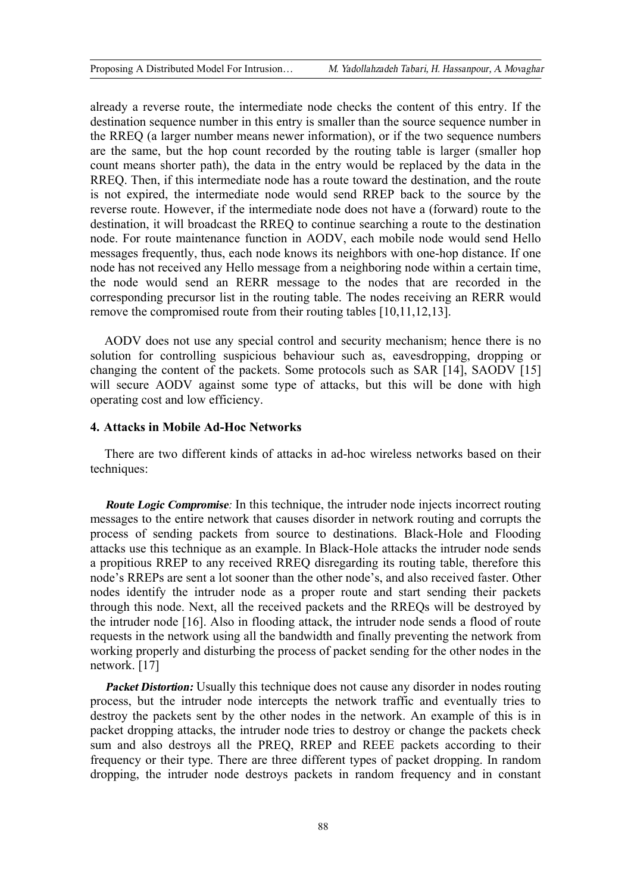already a reverse route, the intermediate node checks the content of this entry. If the destination sequence number in this entry is smaller than the source sequence number in the RREQ (a larger number means newer information), or if the two sequence numbers are the same, but the hop count recorded by the routing table is larger (smaller hop count means shorter path), the data in the entry would be replaced by the data in the RREQ. Then, if this intermediate node has a route toward the destination, and the route is not expired, the intermediate node would send RREP back to the source by the reverse route. However, if the intermediate node does not have a (forward) route to the destination, it will broadcast the RREQ to continue searching a route to the destination node. For route maintenance function in AODV, each mobile node would send Hello messages frequently, thus, each node knows its neighbors with one-hop distance. If one node has not received any Hello message from a neighboring node within a certain time, the node would send an RERR message to the nodes that are recorded in the corresponding precursor list in the routing table. The nodes receiving an RERR would remove the compromised route from their routing tables [10,11,12,13].

AODV does not use any special control and security mechanism; hence there is no solution for controlling suspicious behaviour such as, eavesdropping, dropping or changing the content of the packets. Some protocols such as SAR [14], SAODV [15] will secure AODV against some type of attacks, but this will be done with high operating cost and low efficiency.

### **4. Attacks in Mobile Ad-Hoc Networks**

There are two different kinds of attacks in ad-hoc wireless networks based on their techniques:

*Route Logic Compromise:* In this technique, the intruder node injects incorrect routing messages to the entire network that causes disorder in network routing and corrupts the process of sending packets from source to destinations. Black-Hole and Flooding attacks use this technique as an example. In Black-Hole attacks the intruder node sends a propitious RREP to any received RREQ disregarding its routing table, therefore this node's RREPs are sent a lot sooner than the other node's, and also received faster. Other nodes identify the intruder node as a proper route and start sending their packets through this node. Next, all the received packets and the RREQs will be destroyed by the intruder node [16]. Also in flooding attack, the intruder node sends a flood of route requests in the network using all the bandwidth and finally preventing the network from working properly and disturbing the process of packet sending for the other nodes in the network. [17]

*Packet Distortion:* Usually this technique does not cause any disorder in nodes routing process, but the intruder node intercepts the network traffic and eventually tries to destroy the packets sent by the other nodes in the network. An example of this is in packet dropping attacks, the intruder node tries to destroy or change the packets check sum and also destroys all the PREQ, RREP and REEE packets according to their frequency or their type. There are three different types of packet dropping. In random dropping, the intruder node destroys packets in random frequency and in constant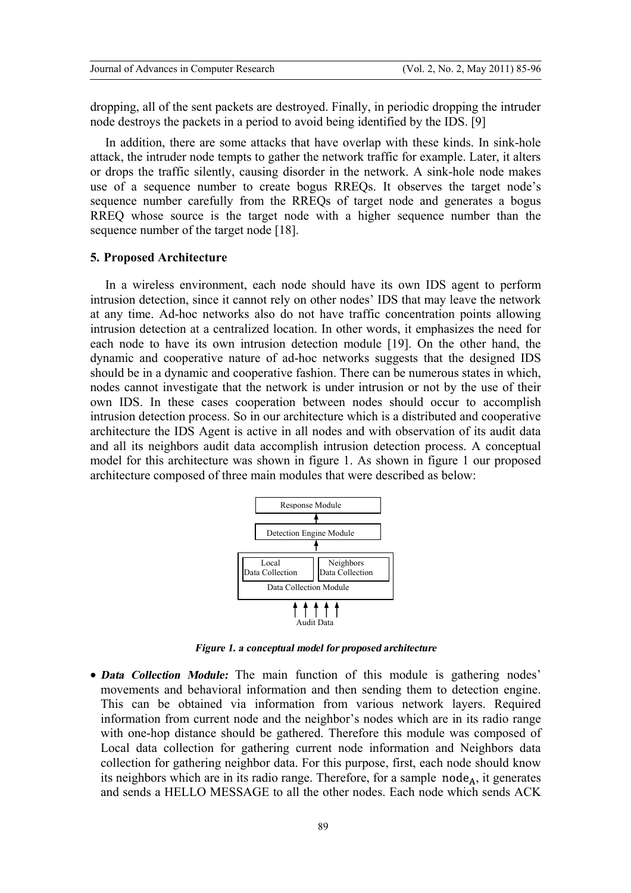dropping, all of the sent packets are destroyed. Finally, in periodic dropping the intruder node destroys the packets in a period to avoid being identified by the IDS. [9]

In addition, there are some attacks that have overlap with these kinds. In sink-hole attack, the intruder node tempts to gather the network traffic for example. Later, it alters or drops the traffic silently, causing disorder in the network. A sink-hole node makes use of a sequence number to create bogus RREQs. It observes the target node's sequence number carefully from the RREQs of target node and generates a bogus RREQ whose source is the target node with a higher sequence number than the sequence number of the target node [18].

#### **5. Proposed Architecture**

In a wireless environment, each node should have its own IDS agent to perform intrusion detection, since it cannot rely on other nodes' IDS that may leave the network at any time. Ad-hoc networks also do not have traffic concentration points allowing intrusion detection at a centralized location. In other words, it emphasizes the need for each node to have its own intrusion detection module [19]. On the other hand, the dynamic and cooperative nature of ad-hoc networks suggests that the designed IDS should be in a dynamic and cooperative fashion. There can be numerous states in which, nodes cannot investigate that the network is under intrusion or not by the use of their own IDS. In these cases cooperation between nodes should occur to accomplish intrusion detection process. So in our architecture which is a distributed and cooperative architecture the IDS Agent is active in all nodes and with observation of its audit data and all its neighbors audit data accomplish intrusion detection process. A conceptual model for this architecture was shown in figure 1. As shown in figure 1 our proposed architecture composed of three main modules that were described as below:



*Figure 1. a conceptual model for proposed architecture*

· *Data Collection Module:* The main function of this module is gathering nodes' movements and behavioral information and then sending them to detection engine. This can be obtained via information from various network layers. Required information from current node and the neighbor's nodes which are in its radio range with one-hop distance should be gathered. Therefore this module was composed of Local data collection for gathering current node information and Neighbors data collection for gathering neighbor data. For this purpose, first, each node should know its neighbors which are in its radio range. Therefore, for a sample  $node_A$ , it generates and sends a HELLO MESSAGE to all the other nodes. Each node which sends ACK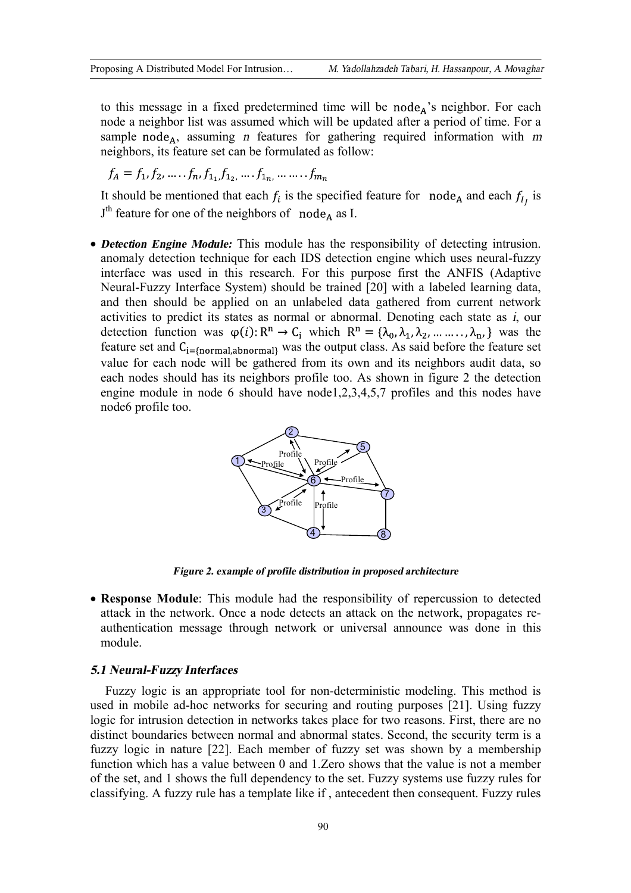to this message in a fixed predetermined time will be node<sub>A</sub>'s neighbor. For each node a neighbor list was assumed which will be updated after a period of time. For a sample node<sub>A</sub>, assuming *n* features for gathering required information with *m* neighbors, its feature set can be formulated as follow:

$$
f_A = f_1, f_2, \dots, f_n, f_{1_1, f_{1_2}, \dots, f_{1_n}, \dots, f_{m_n}
$$

It should be mentioned that each  $f_i$  is the specified feature for node<sub>A</sub> and each  $f_i$ , is  $J<sup>th</sup>$  feature for one of the neighbors of node<sub>A</sub> as I.

· *Detection Engine Module:* This module has the responsibility of detecting intrusion. anomaly detection technique for each IDS detection engine which uses neural-fuzzy interface was used in this research. For this purpose first the ANFIS (Adaptive Neural-Fuzzy Interface System) should be trained [20] with a labeled learning data, and then should be applied on an unlabeled data gathered from current network activities to predict its states as normal or abnormal. Denoting each state as *i*, our detection function was  $\varphi(i): \mathbb{R}^n \to \mathbb{C}_i$  which  $\mathbb{R}^n = {\lambda_0, \lambda_1, \lambda_2, \dots, \lambda_n}$  was the feature set and  $C_{i=[normal,abnormal]}$  was the output class. As said before the feature set value for each node will be gathered from its own and its neighbors audit data, so each nodes should has its neighbors profile too. As shown in figure 2 the detection engine module in node 6 should have node1,2,3,4,5,7 profiles and this nodes have node6 profile too.



*Figure 2. example of profile distribution in proposed architecture*

· **Response Module**: This module had the responsibility of repercussion to detected attack in the network. Once a node detects an attack on the network, propagates reauthentication message through network or universal announce was done in this module.

# *5.1 Neural-Fuzzy Interfaces*

Fuzzy logic is an appropriate tool for non-deterministic modeling. This method is used in mobile ad-hoc networks for securing and routing purposes [21]. Using fuzzy logic for intrusion detection in networks takes place for two reasons. First, there are no distinct boundaries between normal and abnormal states. Second, the security term is a fuzzy logic in nature [22]. Each member of fuzzy set was shown by a membership function which has a value between 0 and 1.Zero shows that the value is not a member of the set, and 1 shows the full dependency to the set. Fuzzy systems use fuzzy rules for classifying. A fuzzy rule has a template like if , antecedent then consequent. Fuzzy rules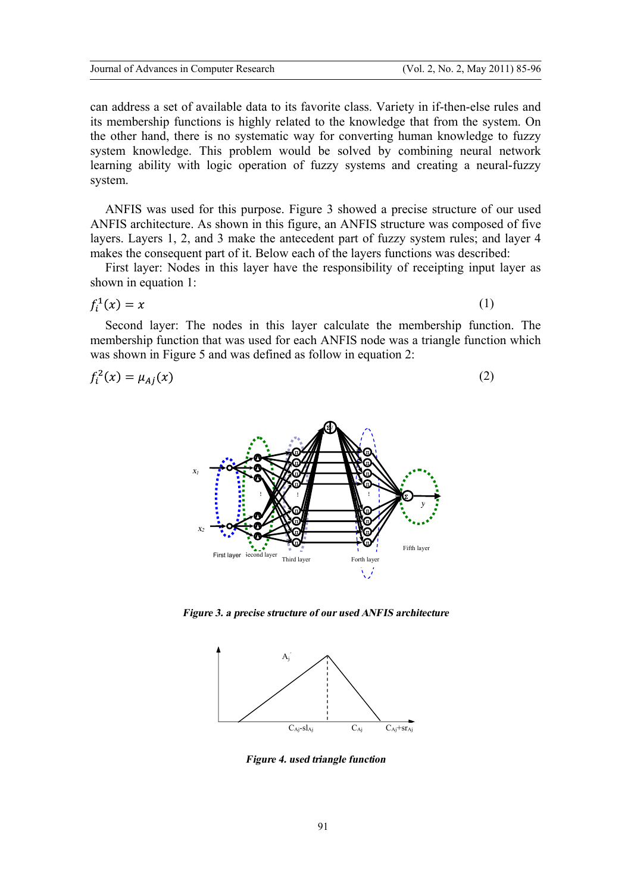can address a set of available data to its favorite class. Variety in if-then-else rules and its membership functions is highly related to the knowledge that from the system. On the other hand, there is no systematic way for converting human knowledge to fuzzy system knowledge. This problem would be solved by combining neural network learning ability with logic operation of fuzzy systems and creating a neural-fuzzy system.

ANFIS was used for this purpose. Figure 3 showed a precise structure of our used ANFIS architecture. As shown in this figure, an ANFIS structure was composed of five layers. Layers 1, 2, and 3 make the antecedent part of fuzzy system rules; and layer 4 makes the consequent part of it. Below each of the layers functions was described:

First layer: Nodes in this layer have the responsibility of receipting input layer as shown in equation 1:

$$
f_i^1(x)=x
$$

(1)

Second layer: The nodes in this layer calculate the membership function. The membership function that was used for each ANFIS node was a triangle function which was shown in Figure 5 and was defined as follow in equation 2:

$$
f_i^2(x) = \mu_{Aj}(x) \tag{2}
$$



*Figure 3. a precise structure of our used ANFIS architecture*



*Figure 4. used triangle function*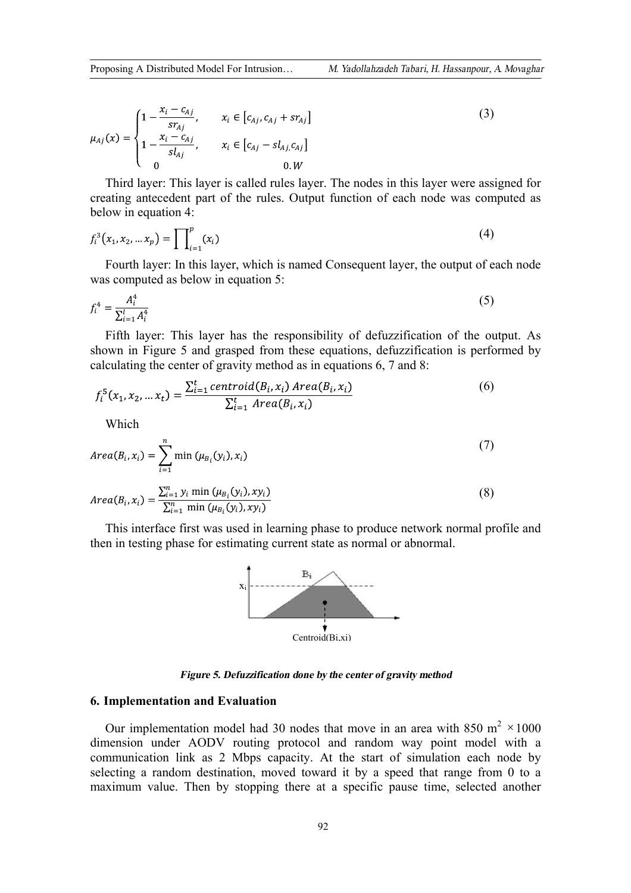$$
\mu_{Aj}(x) = \begin{cases}\n1 - \frac{x_i - c_{Aj}}{sr_{Aj}}, & x_i \in [c_{Aj}, c_{Aj} + sr_{Aj} \\
1 - \frac{x_i - c_{Aj}}{sl_{Aj}}, & x_i \in [c_{Aj} - sl_{Aj}, c_{Aj} \\
0 & 0. W\n\end{cases}
$$
\n(3)

Third layer: This layer is called rules layer. The nodes in this layer were assigned for creating antecedent part of the rules. Output function of each node was computed as below in equation 4:

$$
f_i^3(x_1, x_2, \dots x_p) = \prod_{i=1}^p (x_i)
$$
 (4)

Fourth layer: In this layer, which is named Consequent layer, the output of each node was computed as below in equation 5:

$$
f_i^4 = \frac{A_i^4}{\sum_{i=1}^l A_i^4} \tag{5}
$$

Fifth layer: This layer has the responsibility of defuzzification of the output. As shown in Figure 5 and grasped from these equations, defuzzification is performed by calculating the center of gravity method as in equations 6, 7 and 8:

$$
f_i^5(x_1, x_2, ... x_t) = \frac{\sum_{i=1}^t centroid(B_i, x_i) \text{ Area}(B_i, x_i)}{\sum_{i=1}^t \text{ Area}(B_i, x_i)}
$$
(6)

Which

$$
Area(B_i, x_i) = \sum_{i=1}^{n} \min (\mu_{B_i}(y_i), x_i)
$$
\n
$$
Area(B_i, x_i) = \frac{\sum_{i=1}^{n} y_i \min (\mu_{B_i}(y_i), xy_i)}{\sum_{i=1}^{n} \min (\mu_{B_i}(y_i), xy_i)}
$$
\n(8)

This interface first was used in learning phase to produce network normal profile and then in testing phase for estimating current state as normal or abnormal.



*Figure 5. Defuzzification done by the center of gravity method* 

# **6. Implementation and Evaluation**

Our implementation model had 30 nodes that move in an area with 850 m<sup>2</sup>  $\times$ 1000 dimension under AODV routing protocol and random way point model with a communication link as 2 Mbps capacity. At the start of simulation each node by selecting a random destination, moved toward it by a speed that range from 0 to a maximum value. Then by stopping there at a specific pause time, selected another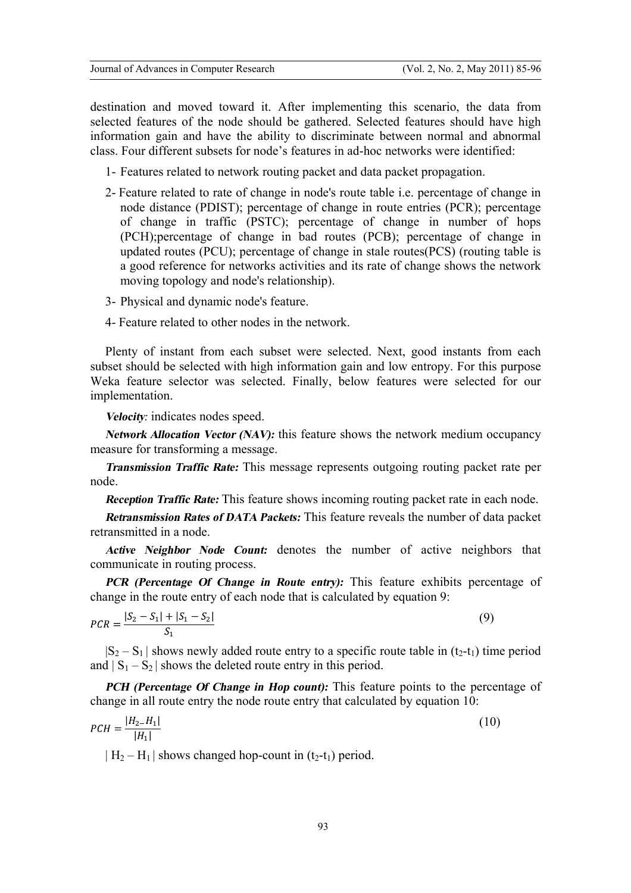destination and moved toward it. After implementing this scenario, the data from selected features of the node should be gathered. Selected features should have high information gain and have the ability to discriminate between normal and abnormal class. Four different subsets for node's features in ad-hoc networks were identified:

- 1- Features related to network routing packet and data packet propagation.
- 2- Feature related to rate of change in node's route table i.e. percentage of change in node distance (PDIST); percentage of change in route entries (PCR); percentage of change in traffic (PSTC); percentage of change in number of hops (PCH);percentage of change in bad routes (PCB); percentage of change in updated routes (PCU); percentage of change in stale routes(PCS) (routing table is a good reference for networks activities and its rate of change shows the network moving topology and node's relationship).
- 3- Physical and dynamic node's feature.
- 4- Feature related to other nodes in the network.

Plenty of instant from each subset were selected. Next, good instants from each subset should be selected with high information gain and low entropy. For this purpose Weka feature selector was selected. Finally, below features were selected for our implementation.

*Velocity:* indicates nodes speed.

*Network Allocation Vector (NAV):* this feature shows the network medium occupancy measure for transforming a message.

*Transmission Traffic Rate:* This message represents outgoing routing packet rate per node.

*Reception Traffic Rate:* This feature shows incoming routing packet rate in each node.

*Retransmission Rates of DATA Packets:* This feature reveals the number of data packet retransmitted in a node.

*Active Neighbor Node Count:* denotes the number of active neighbors that communicate in routing process.

*PCR (Percentage Of Change in Route entry):* This feature exhibits percentage of change in the route entry of each node that is calculated by equation 9:

$$
PCR = \frac{|S_2 - S_1| + |S_1 - S_2|}{S_1} \tag{9}
$$

 $|S_2 - S_1|$  shows newly added route entry to a specific route table in (t<sub>2</sub>-t<sub>1</sub>) time period and  $|S_1 - S_2|$  shows the deleted route entry in this period.

*PCH (Percentage Of Change in Hop count):* This feature points to the percentage of change in all route entry the node route entry that calculated by equation 10:

$$
PCH = \frac{|H_{2} - H_{1}|}{|H_{1}|} \tag{10}
$$

 $| H_2 - H_1 |$  shows changed hop-count in  $(t_2-t_1)$  period.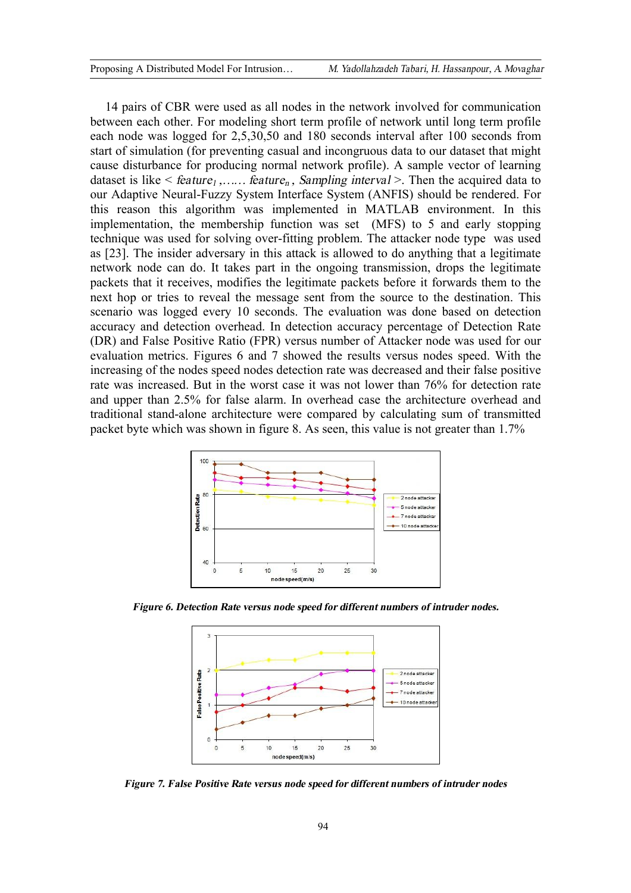14 pairs of CBR were used as all nodes in the network involved for communication between each other. For modeling short term profile of network until long term profile each node was logged for 2,5,30,50 and 180 seconds interval after 100 seconds from start of simulation (for preventing casual and incongruous data to our dataset that might cause disturbance for producing normal network profile). A sample vector of learning dataset is like  $\leq$  *feature<sub>1</sub>*, *m.i. feature<sub>n</sub>*, *Sampling interval*  $\geq$ . Then the acquired data to our Adaptive Neural-Fuzzy System Interface System (ANFIS) should be rendered. For this reason this algorithm was implemented in MATLAB environment. In this implementation, the membership function was set (MFS) to 5 and early stopping technique was used for solving over-fitting problem. The attacker node type was used as [23]. The insider adversary in this attack is allowed to do anything that a legitimate network node can do. It takes part in the ongoing transmission, drops the legitimate packets that it receives, modifies the legitimate packets before it forwards them to the next hop or tries to reveal the message sent from the source to the destination. This scenario was logged every 10 seconds. The evaluation was done based on detection accuracy and detection overhead. In detection accuracy percentage of Detection Rate (DR) and False Positive Ratio (FPR) versus number of Attacker node was used for our evaluation metrics. Figures 6 and 7 showed the results versus nodes speed. With the increasing of the nodes speed nodes detection rate was decreased and their false positive rate was increased. But in the worst case it was not lower than 76% for detection rate and upper than 2.5% for false alarm. In overhead case the architecture overhead and traditional stand-alone architecture were compared by calculating sum of transmitted packet byte which was shown in figure 8. As seen, this value is not greater than 1.7%



*Figure 6. Detection Rate versus node speedfor different numbers of intruder nodes.* 



*Figure 7. False Positive Rate versus node speedfor different numbers of intruder nodes*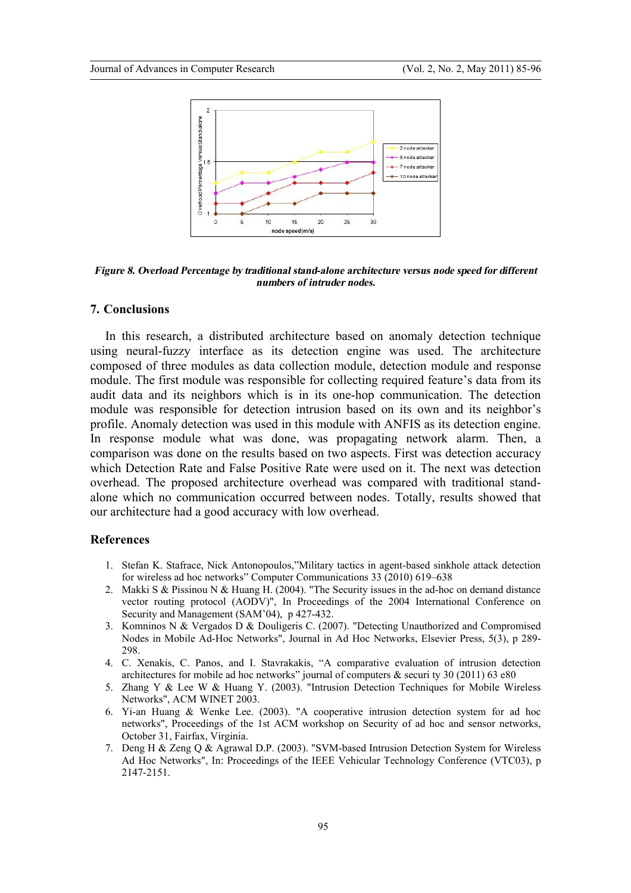

*Figure 8. Overload Percentage by traditional stand-alone architecture versus node speedfor different numbers of intruder nodes.* 

#### **7. Conclusions**

In this research, a distributed architecture based on anomaly detection technique using neural-fuzzy interface as its detection engine was used. The architecture composed of three modules as data collection module, detection module and response module. The first module was responsible for collecting required feature's data from its audit data and its neighbors which is in its one-hop communication. The detection module was responsible for detection intrusion based on its own and its neighbor's profile. Anomaly detection was used in this module with ANFIS as its detection engine. In response module what was done, was propagating network alarm. Then, a comparison was done on the results based on two aspects. First was detection accuracy which Detection Rate and False Positive Rate were used on it. The next was detection overhead. The proposed architecture overhead was compared with traditional standalone which no communication occurred between nodes. Totally, results showed that our architecture had a good accuracy with low overhead.

# **References**

- 1. Stefan K. Stafrace, Nick Antonopoulos,"Military tactics in agent-based sinkhole attack detection for wireless ad hoc networks" Computer Communications 33 (2010) 619–638
- 2. Makki S & Pissinou N & Huang H. (2004). "The Security issues in the ad-hoc on demand distance vector routing protocol (AODV)", In Proceedings of the 2004 International Conference on Security and Management (SAM'04), p 427-432.
- 3. Komninos N & Vergados D & Douligeris C. (2007). "Detecting Unauthorized and Compromised Nodes in Mobile Ad-Hoc Networks", Journal in Ad Hoc Networks, Elsevier Press, 5(3), p 289- 298.
- 4. C. Xenakis, C. Panos, and I. Stavrakakis, "A comparative evaluation of intrusion detection architectures for mobile ad hoc networks" journal of computers & securi ty 30 (2011) 63 e80
- 5. Zhang Y & Lee W & Huang Y. (2003). "Intrusion Detection Techniques for Mobile Wireless Networks", ACM WINET 2003.
- 6. Yi-an Huang & Wenke Lee. (2003). "A cooperative intrusion detection system for ad hoc networks", Proceedings of the 1st ACM workshop on Security of ad hoc and sensor networks, October 31, Fairfax, Virginia.
- 7. Deng H & Zeng Q & Agrawal D.P. (2003). "SVM-based Intrusion Detection System for Wireless Ad Hoc Networks", In: Proceedings of the IEEE Vehicular Technology Conference (VTC03), p 2147-2151.